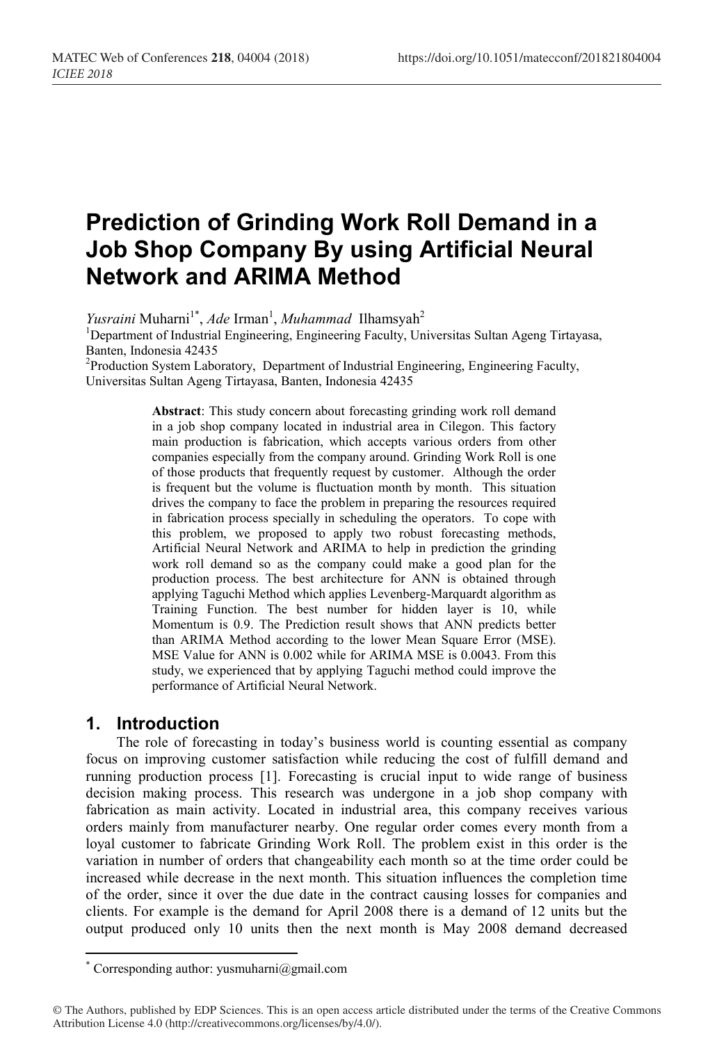# **Prediction of Grinding Work Roll Demand in a Job Shop Company By using Artificial Neural Network and ARIMA Method**

Yusraini Muharni<sup>1\*</sup>, Ade Irman<sup>1</sup>, Muhammad Ilhamsyah<sup>2</sup>

<sup>1</sup>Department of Industrial Engineering, Engineering Faculty, Universitas Sultan Ageng Tirtayasa, Banten, Indonesia 42435

<sup>2</sup>Production System Laboratory, Department of Industrial Engineering, Engineering Faculty, Universitas Sultan Ageng Tirtayasa, Banten, Indonesia 42435

> **Abstract**: This study concern about forecasting grinding work roll demand in a job shop company located in industrial area in Cilegon. This factory main production is fabrication, which accepts various orders from other companies especially from the company around. Grinding Work Roll is one of those products that frequently request by customer. Although the order is frequent but the volume is fluctuation month by month. This situation drives the company to face the problem in preparing the resources required in fabrication process specially in scheduling the operators. To cope with this problem, we proposed to apply two robust forecasting methods, Artificial Neural Network and ARIMA to help in prediction the grinding work roll demand so as the company could make a good plan for the production process. The best architecture for ANN is obtained through applying Taguchi Method which applies Levenberg-Marquardt algorithm as Training Function. The best number for hidden layer is 10, while Momentum is 0.9. The Prediction result shows that ANN predicts better than ARIMA Method according to the lower Mean Square Error (MSE). MSE Value for ANN is 0.002 while for ARIMA MSE is 0.0043. From this study, we experienced that by applying Taguchi method could improve the performance of Artificial Neural Network.

## **1. Introduction**

 $\overline{a}$ 

The role of forecasting in today's business world is counting essential as company focus on improving customer satisfaction while reducing the cost of fulfill demand and running production process [1]. Forecasting is crucial input to wide range of business decision making process. This research was undergone in a job shop company with fabrication as main activity. Located in industrial area, this company receives various orders mainly from manufacturer nearby. One regular order comes every month from a loyal customer to fabricate Grinding Work Roll. The problem exist in this order is the variation in number of orders that changeability each month so at the time order could be increased while decrease in the next month. This situation influences the completion time of the order, since it over the due date in the contract causing losses for companies and clients. For example is the demand for April 2008 there is a demand of 12 units but the output produced only 10 units then the next month is May 2008 demand decreased

<sup>\*</sup> Corresponding author: yusmuharni@gmail.com

<sup>©</sup> The Authors, published by EDP Sciences. This is an open access article distributed under the terms of the Creative Commons Attribution License 4.0 (http://creativecommons.org/licenses/by/4.0/).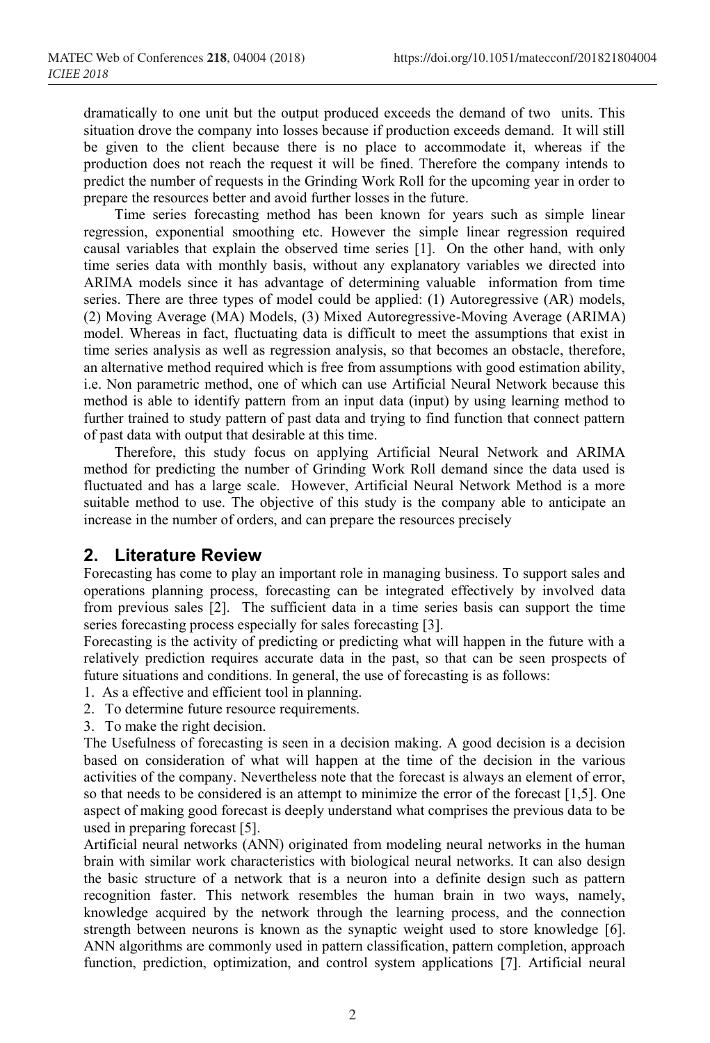dramatically to one unit but the output produced exceeds the demand of two units. This situation drove the company into losses because if production exceeds demand. It will still be given to the client because there is no place to accommodate it, whereas if the production does not reach the request it will be fined. Therefore the company intends to predict the number of requests in the Grinding Work Roll for the upcoming year in order to prepare the resources better and avoid further losses in the future.

Time series forecasting method has been known for years such as simple linear regression, exponential smoothing etc. However the simple linear regression required causal variables that explain the observed time series [1]. On the other hand, with only time series data with monthly basis, without any explanatory variables we directed into ARIMA models since it has advantage of determining valuable information from time series. There are three types of model could be applied: (1) Autoregressive (AR) models, (2) Moving Average (MA) Models, (3) Mixed Autoregressive-Moving Average (ARIMA) model. Whereas in fact, fluctuating data is difficult to meet the assumptions that exist in time series analysis as well as regression analysis, so that becomes an obstacle, therefore, an alternative method required which is free from assumptions with good estimation ability, i.e. Non parametric method, one of which can use Artificial Neural Network because this method is able to identify pattern from an input data (input) by using learning method to further trained to study pattern of past data and trying to find function that connect pattern of past data with output that desirable at this time.

Therefore, this study focus on applying Artificial Neural Network and ARIMA method for predicting the number of Grinding Work Roll demand since the data used is fluctuated and has a large scale. However, Artificial Neural Network Method is a more suitable method to use. The objective of this study is the company able to anticipate an increase in the number of orders, and can prepare the resources precisely

### **2. Literature Review**

Forecasting has come to play an important role in managing business. To support sales and operations planning process, forecasting can be integrated effectively by involved data from previous sales [2]. The sufficient data in a time series basis can support the time series forecasting process especially for sales forecasting [3].

Forecasting is the activity of predicting or predicting what will happen in the future with a relatively prediction requires accurate data in the past, so that can be seen prospects of future situations and conditions. In general, the use of forecasting is as follows:

- 1. As a effective and efficient tool in planning.
- 2. To determine future resource requirements.
- 3. To make the right decision.

The Usefulness of forecasting is seen in a decision making. A good decision is a decision based on consideration of what will happen at the time of the decision in the various activities of the company. Nevertheless note that the forecast is always an element of error, so that needs to be considered is an attempt to minimize the error of the forecast [1,5]. One aspect of making good forecast is deeply understand what comprises the previous data to be used in preparing forecast [5].

Artificial neural networks (ANN) originated from modeling neural networks in the human brain with similar work characteristics with biological neural networks. It can also design the basic structure of a network that is a neuron into a definite design such as pattern recognition faster. This network resembles the human brain in two ways, namely, knowledge acquired by the network through the learning process, and the connection strength between neurons is known as the synaptic weight used to store knowledge [6]. ANN algorithms are commonly used in pattern classification, pattern completion, approach function, prediction, optimization, and control system applications [7]. Artificial neural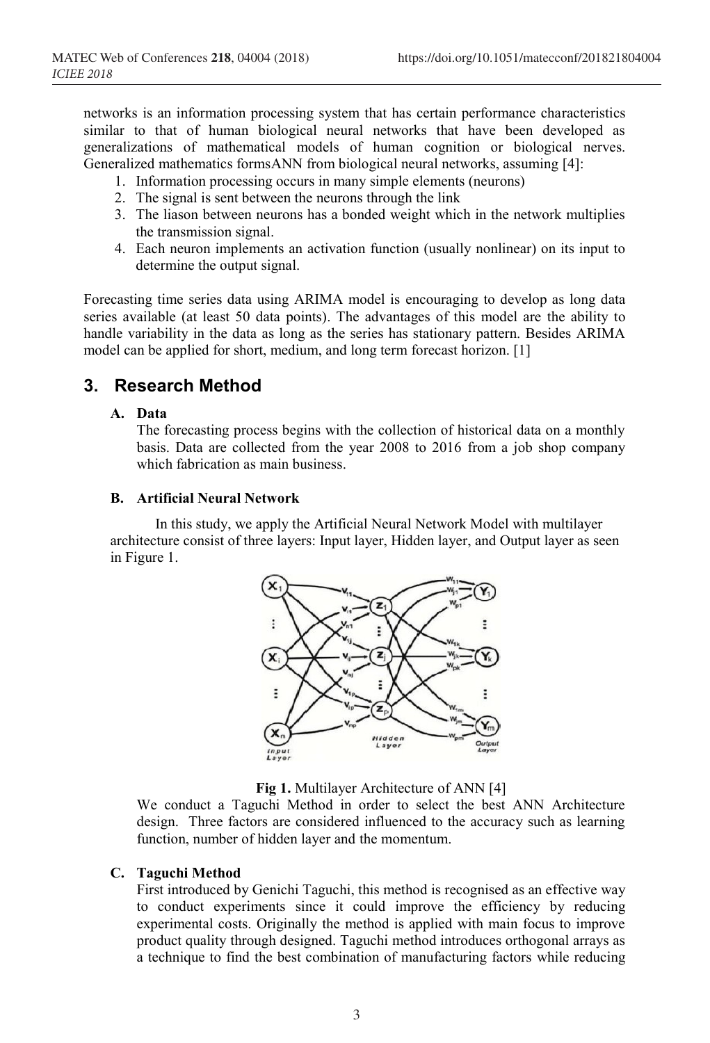networks is an information processing system that has certain performance characteristics similar to that of human biological neural networks that have been developed as generalizations of mathematical models of human cognition or biological nerves. Generalized mathematics formsANN from biological neural networks, assuming [4]:

- 1. Information processing occurs in many simple elements (neurons)
- 2. The signal is sent between the neurons through the link
- 3. The liason between neurons has a bonded weight which in the network multiplies the transmission signal.
- 4. Each neuron implements an activation function (usually nonlinear) on its input to determine the output signal.

Forecasting time series data using ARIMA model is encouraging to develop as long data series available (at least 50 data points). The advantages of this model are the ability to handle variability in the data as long as the series has stationary pattern. Besides ARIMA model can be applied for short, medium, and long term forecast horizon. [1]

### **3. Research Method**

#### **A. Data**

The forecasting process begins with the collection of historical data on a monthly basis. Data are collected from the year 2008 to 2016 from a job shop company which fabrication as main business.

#### **B. Artificial Neural Network**

 In this study, we apply the Artificial Neural Network Model with multilayer architecture consist of three layers: Input layer, Hidden layer, and Output layer as seen in Figure 1.



Fig 1. Multilayer Architecture of ANN [4]

We conduct a Taguchi Method in order to select the best ANN Architecture design. Three factors are considered influenced to the accuracy such as learning function, number of hidden layer and the momentum.

#### **C. Taguchi Method**

First introduced by Genichi Taguchi, this method is recognised as an effective way to conduct experiments since it could improve the efficiency by reducing experimental costs. Originally the method is applied with main focus to improve product quality through designed. Taguchi method introduces orthogonal arrays as a technique to find the best combination of manufacturing factors while reducing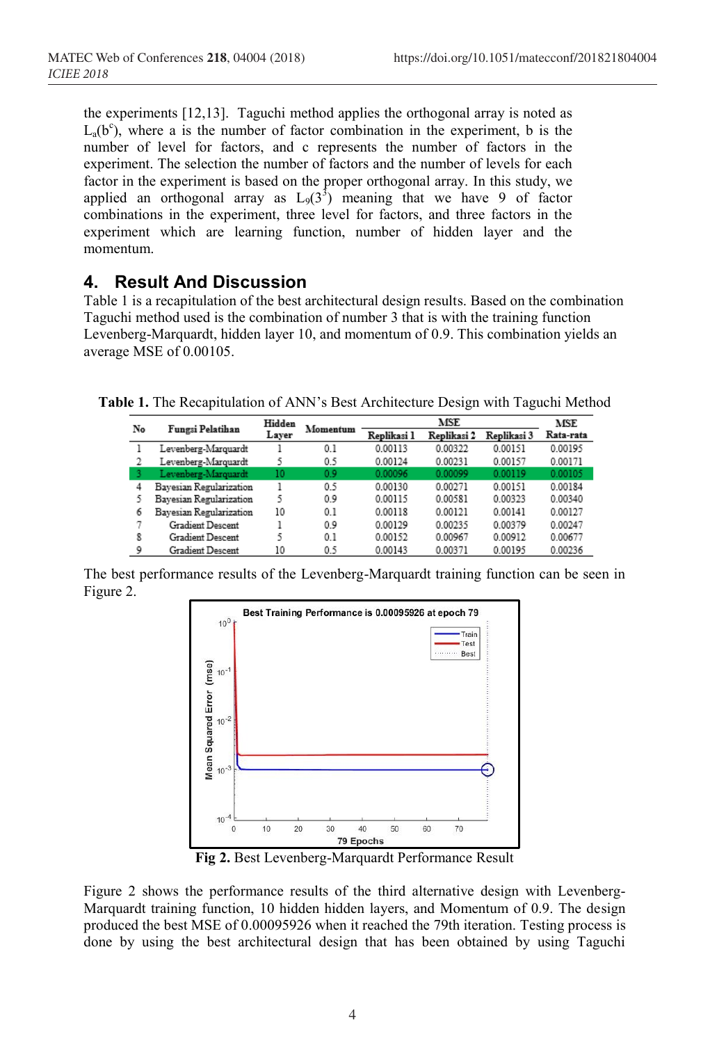the experiments [12,13]. Taguchi method applies the orthogonal array is noted as  $L_a(b^c)$ , where a is the number of factor combination in the experiment, b is the number of level for factors, and c represents the number of factors in the experiment. The selection the number of factors and the number of levels for each factor in the experiment is based on the proper orthogonal array. In this study, we applied an orthogonal array as  $L_9(3^3)$  meaning that we have 9 of factor combinations in the experiment, three level for factors, and three factors in the experiment which are learning function, number of hidden layer and the momentum.

## **4. Result And Discussion**

Table 1 is a recapitulation of the best architectural design results. Based on the combination Taguchi method used is the combination of number 3 that is with the training function Levenberg-Marquardt, hidden layer 10, and momentum of 0.9. This combination yields an average MSE of 0.00105.

**Table 1.** The Recapitulation of ANN's Best Architecture Design with Taguchi Method

| No | Fungsi Pelatihan        | Hidden<br>Layer | Momentum | MSE         |             |             | MSE       |
|----|-------------------------|-----------------|----------|-------------|-------------|-------------|-----------|
|    |                         |                 |          | Replikasi 1 | Replikasi 2 | Replikasi 3 | Rata-rata |
|    | Levenberg-Marquardt     |                 | 0.1      | 0.00113     | 0.00322     | 0.00151     | 0.00195   |
|    | Levenberg-Marquardt     | 5               | 0.5      | 0.00124     | 0.00231     | 0.00157     | 0.00171   |
|    | Levenberg-Marquardt     | 10              | 0.9      | 0.00096     | 0.00099     | 0.00119     | 0.00105   |
| 4  | Bavesian Regularization |                 | 0.5      | 0.00130     | 0.00271     | 0.00151     | 0.00184   |
|    | Bayesian Regularization | 5               | 0.9      | 0.00115     | 0.00581     | 0.00323     | 0.00340   |
| 6  | Bayesian Regularization | 10              | 0.1      | 0.00118     | 0.00121     | 0.00141     | 0.00127   |
|    | Gradient Descent        |                 | 0.9      | 0.00129     | 0.00235     | 0.00379     | 0.00247   |
| 8  | Gradient Descent        | ς               | 0.1      | 0.00152     | 0.00967     | 0.00912     | 0.00677   |
| 9  | <b>Gradient Descent</b> | 10              | 0.5      | 0.00143     | 0.00371     | 0.00195     | 0.00236   |

The best performance results of the Levenberg-Marquardt training function can be seen in Figure 2.



**Fig 2.** Best Levenberg-Marquardt Performance Result

Figure 2 shows the performance results of the third alternative design with Levenberg-Marquardt training function, 10 hidden hidden layers, and Momentum of 0.9. The design produced the best MSE of 0.00095926 when it reached the 79th iteration. Testing process is done by using the best architectural design that has been obtained by using Taguchi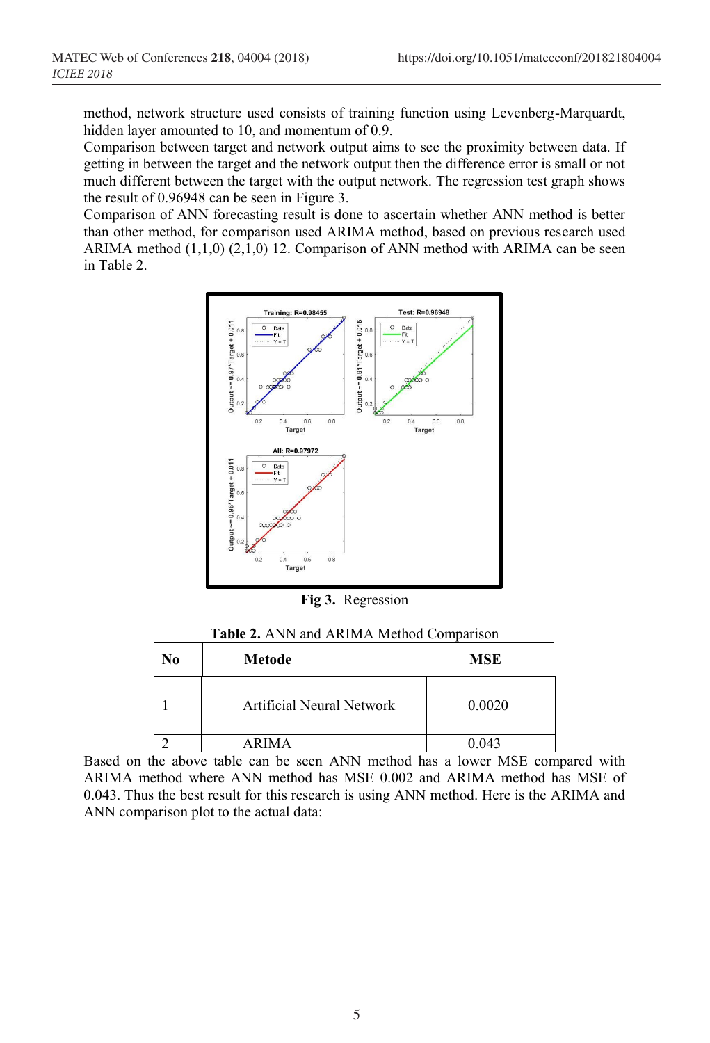method, network structure used consists of training function using Levenberg-Marquardt, hidden layer amounted to 10, and momentum of 0.9.

Comparison between target and network output aims to see the proximity between data. If getting in between the target and the network output then the difference error is small or not much different between the target with the output network. The regression test graph shows the result of 0.96948 can be seen in Figure 3.

Comparison of ANN forecasting result is done to ascertain whether ANN method is better than other method, for comparison used ARIMA method, based on previous research used ARIMA method  $(1,1,0)$   $(2,1,0)$  12. Comparison of ANN method with ARIMA can be seen in Table 2.



**Fig 3.** Regression

| <b>Table 2.</b> ANN and ARIMA Method Comparison |        |     |  |  |  |
|-------------------------------------------------|--------|-----|--|--|--|
| No                                              | Metode | MSE |  |  |  |

| INO | metode                    | MDL    |
|-----|---------------------------|--------|
|     | Artificial Neural Network | 0.0020 |
|     | <b>ARIMA</b>              | 0.043  |

Based on the above table can be seen ANN method has a lower MSE compared with ARIMA method where ANN method has MSE 0.002 and ARIMA method has MSE of 0.043. Thus the best result for this research is using ANN method. Here is the ARIMA and ANN comparison plot to the actual data: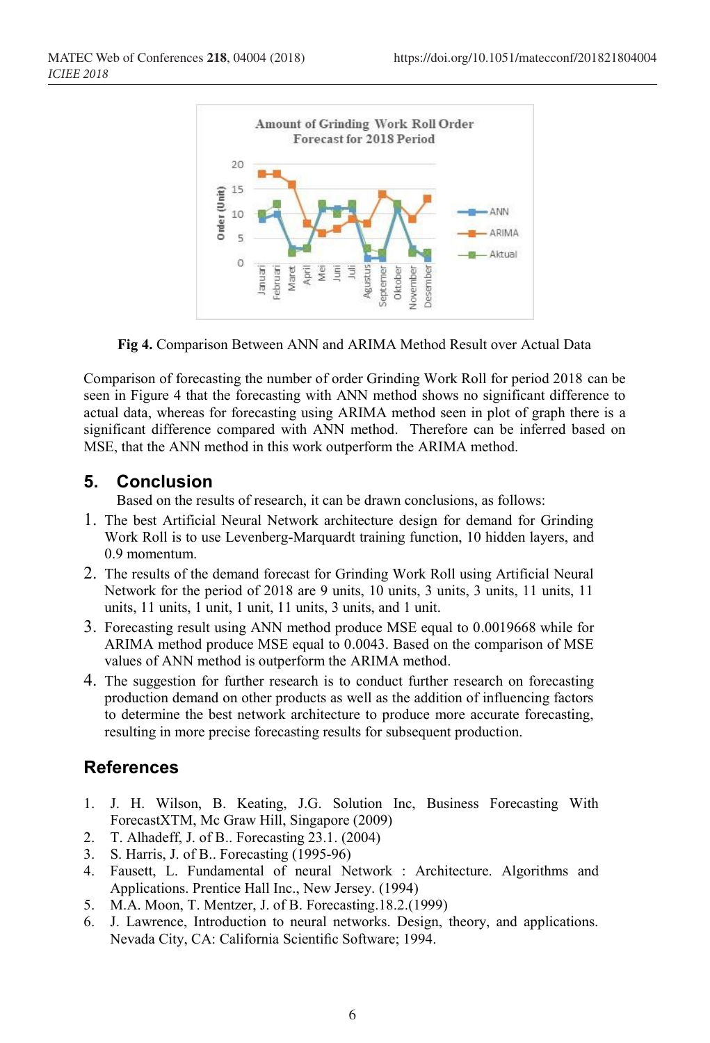

**Fig 4.** Comparison Between ANN and ARIMA Method Result over Actual Data

Comparison of forecasting the number of order Grinding Work Roll for period 2018 can be seen in Figure 4 that the forecasting with ANN method shows no significant difference to actual data, whereas for forecasting using ARIMA method seen in plot of graph there is a significant difference compared with ANN method. Therefore can be inferred based on MSE, that the ANN method in this work outperform the ARIMA method.

### **5. Conclusion**

Based on the results of research, it can be drawn conclusions, as follows:

- 1. The best Artificial Neural Network architecture design for demand for Grinding Work Roll is to use Levenberg-Marquardt training function, 10 hidden layers, and 0.9 momentum.
- 2. The results of the demand forecast for Grinding Work Roll using Artificial Neural Network for the period of 2018 are 9 units, 10 units, 3 units, 3 units, 11 units, 11 units, 11 units, 1 unit, 1 unit, 11 units, 3 units, and 1 unit.
- 3. Forecasting result using ANN method produce MSE equal to 0.0019668 while for ARIMA method produce MSE equal to 0.0043. Based on the comparison of MSE values of ANN method is outperform the ARIMA method.
- 4. The suggestion for further research is to conduct further research on forecasting production demand on other products as well as the addition of influencing factors to determine the best network architecture to produce more accurate forecasting, resulting in more precise forecasting results for subsequent production.

# **References**

- 1. J. H. Wilson, B. Keating, J.G. Solution Inc, Business Forecasting With ForecastXTM, Mc Graw Hill, Singapore (2009)
- 2. T. Alhadeff, J. of B.. Forecasting 23.1. (2004)<br>3. S. Harris, J. of B.. Forecasting (1995-96)
- 3. S. Harris, J. of B.. Forecasting (1995-96)
- 4. Fausett, L. Fundamental of neural Network : Architecture. Algorithms and Applications. Prentice Hall Inc., New Jersey. (1994)
- 5. M.A. Moon, T. Mentzer, J. of B. Forecasting.18.2.(1999)
- 6. J. Lawrence, Introduction to neural networks. Design, theory, and applications. Nevada City, CA: California Scientific Software; 1994.